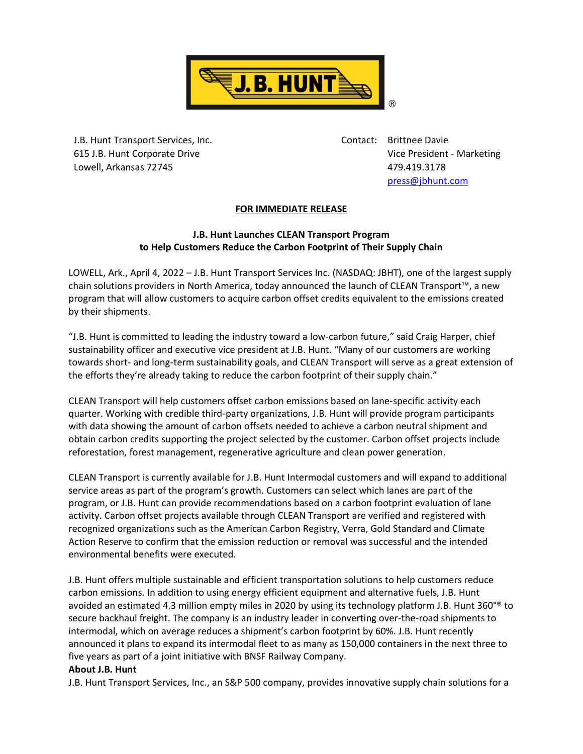

J.B. Hunt Transport Services, Inc. 615 J.B. Hunt Corporate Drive Lowell, Arkansas 72745

Contact: Brittnee Davie Vice President - Marketing 479.419.3178 [press@jbhunt.com](mailto:press@jbhunt.com)

## **FOR IMMEDIATE RELEASE**

## **J.B. Hunt Launches CLEAN Transport Program to Help Customers Reduce the Carbon Footprint of Their Supply Chain**

LOWELL, Ark., April 4, 2022 – J.B. Hunt Transport Services Inc. (NASDAQ: JBHT), one of the largest supply chain solutions providers in North America, today announced the launch of CLEAN Transport™, a new program that will allow customers to acquire carbon offset credits equivalent to the emissions created by their shipments.

"J.B. Hunt is committed to leading the industry toward a low-carbon future," said Craig Harper, chief sustainability officer and executive vice president at J.B. Hunt. "Many of our customers are working towards short- and long-term sustainability goals, and CLEAN Transport will serve as a great extension of the efforts they're already taking to reduce the carbon footprint of their supply chain."

CLEAN Transport will help customers offset carbon emissions based on lane-specific activity each quarter. Working with credible third-party organizations, J.B. Hunt will provide program participants with data showing the amount of carbon offsets needed to achieve a carbon neutral shipment and obtain carbon credits supporting the project selected by the customer. Carbon offset projects include reforestation, forest management, regenerative agriculture and clean power generation.

CLEAN Transport is currently available for J.B. Hunt Intermodal customers and will expand to additional service areas as part of the program's growth. Customers can select which lanes are part of the program, or J.B. Hunt can provide recommendations based on a carbon footprint evaluation of lane activity. Carbon offset projects available through CLEAN Transport are verified and registered with recognized organizations such as the American Carbon Registry, Verra, Gold Standard and Climate Action Reserve to confirm that the emission reduction or removal was successful and the intended environmental benefits were executed.

J.B. Hunt offers multiple sustainable and efficient transportation solutions to help customers reduce carbon emissions. In addition to using energy efficient equipment and alternative fuels, J.B. Hunt avoided an estimated 4.3 million empty miles in 2020 by using its technology platform J.B. Hunt 360°® to secure backhaul freight. The company is an industry leader in converting over-the-road shipments to intermodal, which on average reduces a shipment's carbon footprint by 60%. J.B. Hunt recently announced it plans to expand its intermodal fleet to as many as 150,000 containers in the next three to five years as part of a joint initiative with BNSF Railway Company.

## **About J.B. Hunt**

J.B. Hunt Transport Services, Inc., an S&P 500 company, provides innovative supply chain solutions for a